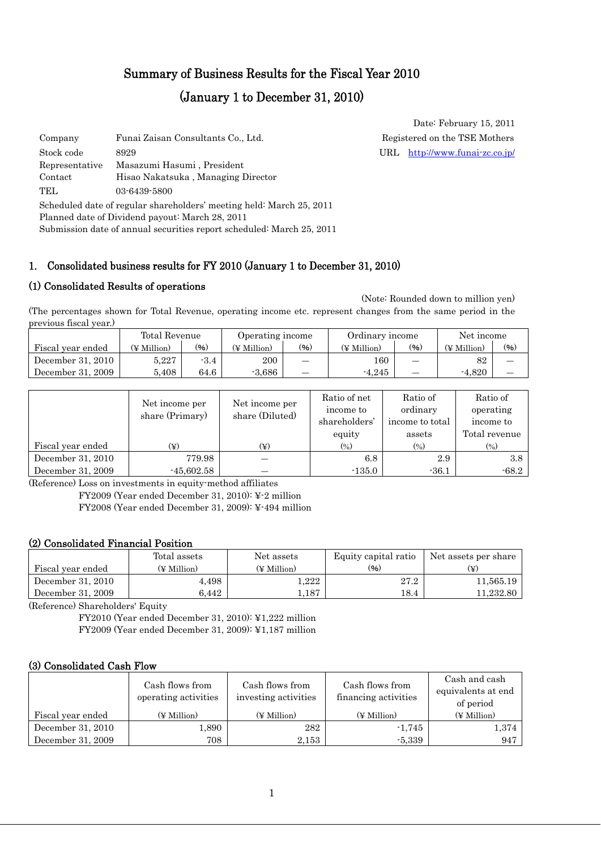# Summary of Business Results for the Fiscal Year 2010

# (January 1 to December 31, 2010)

| Company        | Funai Zaisan Consultants Co., Ltd.                                                                                                                                                               | Regist |
|----------------|--------------------------------------------------------------------------------------------------------------------------------------------------------------------------------------------------|--------|
| Stock code     | 8929                                                                                                                                                                                             | URL    |
| Representative | Masazumi Hasumi, President                                                                                                                                                                       |        |
| Contact        | Hisao Nakatsuka, Managing Director                                                                                                                                                               |        |
| TEL.           | 03-6439-5800                                                                                                                                                                                     |        |
|                | Scheduled date of regular shareholders' meeting held: March 25, 2011<br>Planned date of Dividend payout: March 28, 2011<br>Submission date of annual securities report scheduled: March 25, 2011 |        |

## 1. Consolidated business results for FY 2010 (January 1 to December 31, 2010)

### (1) Consolidated Results of operations

 (Note: Rounded down to million yen) (The percentages shown for Total Revenue, operating income etc. represent changes from the same period in the previous fiscal year.)

|                   | Total Revenue |        | Operating income |      | Ordinary income |      | Net income  |      |
|-------------------|---------------|--------|------------------|------|-----------------|------|-------------|------|
| Fiscal year ended | (¥ Million)   | (96)   | (¥ Million)      | (96) | (¥ Million)     | (96) | (¥ Million) | (96) |
| December 31, 2010 | 5.227         | $-3.4$ | 200              | –    | 160             |      | 82          |      |
| December 31, 2009 | 5.408         | 64.6   | $-3.686$         | _    | $-4.245$        |      | $-4.820$    |      |

|                   | Net income per  | Net income per  | Ratio of net<br>income to  | Ratio of<br>ordinary         | Ratio of<br>operating      |
|-------------------|-----------------|-----------------|----------------------------|------------------------------|----------------------------|
|                   | share (Primary) | share (Diluted) | shareholders'              | income to total              | income to                  |
|                   |                 |                 | equity                     | assets                       | Total revenue              |
| Fiscal year ended | $(\c\chi)$      | $(\c\chi)$      | $\left(\frac{0}{0}\right)$ | $\left( \frac{0}{0} \right)$ | $\left(\frac{0}{0}\right)$ |
| December 31, 2010 | 779.98          |                 | 6.8                        | 2.9                          | 3.8                        |
| December 31, 2009 | $-45,602.58$    |                 | $-135.0$                   | $-36.1$                      | $-68.2$                    |

(Reference) Loss on investments in equity-method affiliates

FY2009 (Year ended December 31, 2010): ¥-2 million FY2008 (Year ended December 31, 2009): ¥-494 million

### (2) Consolidated Financial Position

|                   | Total assets | Equity capital ratio<br>Net assets |      | Net assets per share |
|-------------------|--------------|------------------------------------|------|----------------------|
| Fiscal year ended | (¥ Million)  | (¥ Million)                        | (96) | (¥)                  |
| December 31, 2010 | 4,498        | 1,222                              | 27.2 | 11.565.19            |
| December 31, 2009 | 6.442        | 1.187                              | 18.4 | 11.232.80            |

(Reference) Shareholders' Equity

FY2010 (Year ended December 31, 2010): ¥1,222 million FY2009 (Year ended December 31, 2009): ¥1,187 million

#### (3) Consolidated Cash Flow

|                   | Cash flows from<br>operating activities | Cash flows from<br>investing activities | Cash flows from<br>financing activities | Cash and cash<br>equivalents at end<br>of period |
|-------------------|-----------------------------------------|-----------------------------------------|-----------------------------------------|--------------------------------------------------|
| Fiscal year ended | $(\n\Psi$ Million                       | (¥ Million)                             | (¥ Million)                             | (¥ Million)                                      |
| December 31, 2010 | 1,890                                   | 282                                     | $-1,745$                                | 1,374                                            |
| December 31, 2009 | 708                                     | 2,153                                   | $-5,339$                                | 947                                              |

Date: February 15, 2011 tered on the TSE Mothers http://www.funai-zc.co.jp/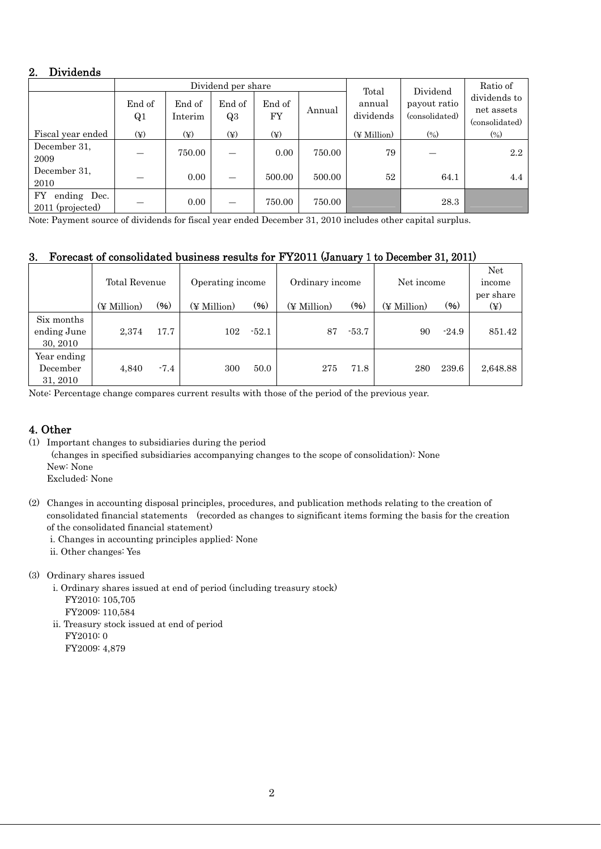## 2. Dividends

|                                       |              |                   | Dividend per share       | Total        | Dividend | Ratio of            |                                |                                              |
|---------------------------------------|--------------|-------------------|--------------------------|--------------|----------|---------------------|--------------------------------|----------------------------------------------|
|                                       | End of<br>Q1 | End of<br>Interim | End of<br>Q3             | End of<br>FY | Annual   | annual<br>dividends | payout ratio<br>(consolidated) | dividends to<br>net assets<br>(consolidated) |
| Fiscal year ended                     | $(\yen)$     | $(\yen)$          | $(\yen)$                 | $(\yen)$     |          | (¥ Million)         | $(\%)$                         | $(\%)$                                       |
| December 31.<br>2009                  |              | 750.00            | $\overline{\phantom{0}}$ | 0.00         | 750.00   | 79                  |                                | 2.2                                          |
| December 31.<br>2010                  |              | 0.00              | $\overline{\phantom{0}}$ | 500.00       | 500.00   | 52                  | 64.1                           | 4.4                                          |
| FY<br>ending Dec.<br>2011 (projected) |              | 0.00              |                          | 750.00       | 750.00   |                     | 28.3                           |                                              |

Note: Payment source of dividends for fiscal year ended December 31, 2010 includes other capital surplus.

## 3. Forecast of consolidated business results for FY2011 (January 1 to December 31, 2011)

|                                       | Total Revenue |        | Operating income |         | Ordinary income |         | Net income  |         | Net<br>income<br>per share |
|---------------------------------------|---------------|--------|------------------|---------|-----------------|---------|-------------|---------|----------------------------|
|                                       | (¥ Million)   | (96)   | (¥ Million)      | (96)    | (¥ Million)     | (96)    | (¥ Million) | $(\% )$ | $(\yen)$                   |
| Six months<br>ending June<br>30, 2010 | 2,374         | 17.7   | 102              | $-52.1$ | 87              | $-53.7$ | 90          | $-24.9$ | 851.42                     |
| Year ending<br>December<br>31, 2010   | 4,840         | $-7.4$ | 300              | 50.0    | 275             | 71.8    | 280         | 239.6   | 2,648.88                   |

Note: Percentage change compares current results with those of the period of the previous year.

## 4. Other

(1) Important changes to subsidiaries during the period

(changes in specified subsidiaries accompanying changes to the scope of consolidation): None New: None

Excluded: None

- (2) Changes in accounting disposal principles, procedures, and publication methods relating to the creation of consolidated financial statements (recorded as changes to significant items forming the basis for the creation of the consolidated financial statement)
	- i. Changes in accounting principles applied: None
	- ii. Other changes: Yes
- (3) Ordinary shares issued
	- i. Ordinary shares issued at end of period (including treasury stock) FY2010: 105,705 FY2009: 110,584
	- ii. Treasury stock issued at end of period FY2010: 0 FY2009: 4,879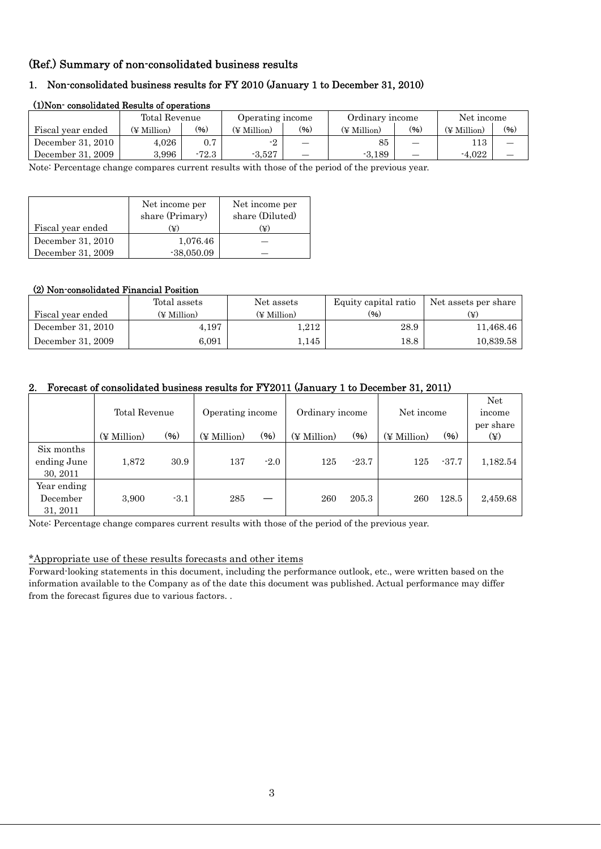## (Ref.) Summary of non-consolidated business results

## 1. Non-consolidated business results for FY 2010 (January 1 to December 31, 2010)

|                   | Total Revenue |         | Operating income |      | Ordinary income |      | Net income  |      |
|-------------------|---------------|---------|------------------|------|-----------------|------|-------------|------|
| Fiscal year ended | (¥ Million)   | (96)    | (¥ Million)      | (96) | (¥ Million)     | (96) | (¥ Million) | (96) |
| December 31, 2010 | $4.026\,$     |         | - 9              |      | 85              |      | .13         |      |
| December 31, 2009 | 3.996         | $-72.3$ | $-3.527$         | —    | $-3.189$        |      | $-4.022$    |      |

#### (1)Non- consolidated Results of operations

Note: Percentage change compares current results with those of the period of the previous year.

|                   | Net income per<br>share (Primary) | Net income per<br>share (Diluted) |
|-------------------|-----------------------------------|-----------------------------------|
| Fiscal year ended | (¥)                               | (¥)                               |
| December 31, 2010 | 1,076.46                          |                                   |
| December 31, 2009 | $-38,050.09$                      |                                   |

#### (2) Non-consolidated Financial Position

|                   | Total assets | Net assets  | Equity capital ratio | Net assets per share |
|-------------------|--------------|-------------|----------------------|----------------------|
| Fiscal year ended | (¥ Million)  | (¥ Million) | (%)                  | (¥)                  |
| December 31, 2010 | 4,197        | 1.212       | 28.9                 | 11,468.46            |
| December 31, 2009 | 6.091        | 1.145       | 18.8                 | 10,839.58            |

#### 2. Forecast of consolidated business results for FY2011 (January 1 to December 31, 2011)

|                                       | Total Revenue |        | Operating income |        | Ordinary income |         | Net income        |         | Net<br>income         |
|---------------------------------------|---------------|--------|------------------|--------|-----------------|---------|-------------------|---------|-----------------------|
|                                       | (¥ Million)   | (96)   | (¥ Million)      | $(\%)$ | (¥ Million)     | (%)     | $(\nPsi$ Million) | (96)    | per share<br>$(\yen)$ |
| Six months<br>ending June<br>30, 2011 | 1,872         | 30.9   | 137              | $-2.0$ | 125             | $-23.7$ | 125               | $-37.7$ | 1,182.54              |
| Year ending<br>December<br>31, 2011   | 3,900         | $-3.1$ | 285              |        | 260             | 205.3   | 260               | 128.5   | 2,459.68              |

Note: Percentage change compares current results with those of the period of the previous year.

#### \*Appropriate use of these results forecasts and other items

Forward-looking statements in this document, including the performance outlook, etc., were written based on the information available to the Company as of the date this document was published. Actual performance may differ from the forecast figures due to various factors. .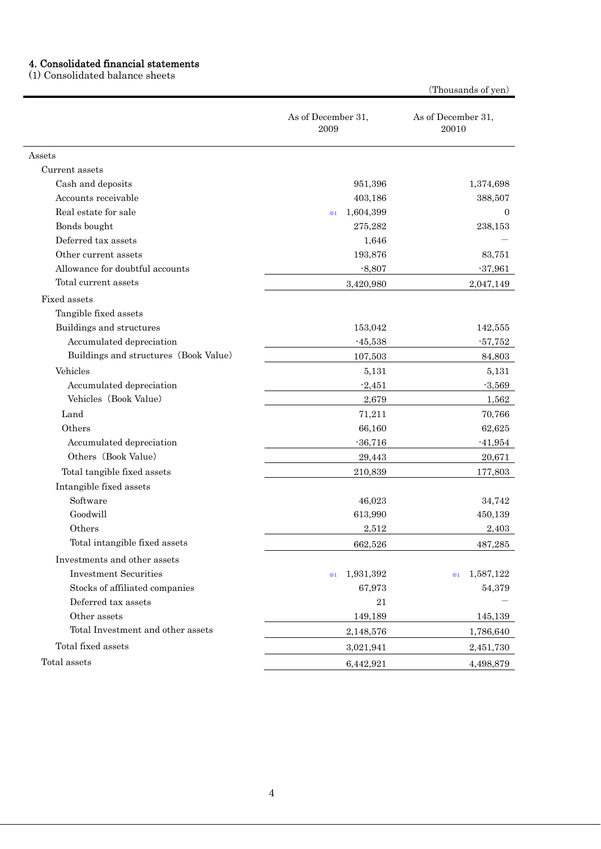#### 4. Consolidated financial statements

(1) Consolidated balance sheets

As of December 31, 2009 As of December 31, 20010 Assets Current assets Cash and deposits **1,374,698** 1,374,698 Accounts receivable 388,507 Real estate for sale  $\frac{1}{2}$  1,604,399 0 Bonds bought 275,282 238,153 Deferred tax assets 1,646 Other current assets 193,876 83,751 Allowance for doubtful accounts  $-8,807$   $-37,961$ Total current assets 3,420,980 2,047,149 Fixed assets Tangible fixed assets Buildings and structures 153,042 142,555 Accumulated depreciation and the set of the set of the set of the set of the set of the set of the set of the set of the set of the set of the set of the set of the set of the set of the set of the set of the set of the se Buildings and structures (Book Value) 107,503 84,803  $V$ ehicles  $5,131$   $5,131$   $5,131$ Accumulated depreciation  $-2,451$  -3,569 Vehicles (Book Value) 2,679 1,562 Land 70,766 Others 66,160 62,625 Accumulated depreciation  $-36,716$  -41,954 Others (Book Value) 29,443 20,671 Total tangible fixed assets 210,839 177,803 Intangible fixed assets Software 34,742 Goodwill **613,990** 450,139 450,139 Others 2,512 2,403 Total intangible fixed assets 662,526 487,285 Investments and other assets Investment Securities ※<sup>1</sup> 1,931,392 ※<sup>1</sup> 1,587,122 Stocks of affiliated companies 67,973 54,379 Deferred tax assets  $21$ Other assets 149,189 145,139 Total Investment and other assets  $2,148,576$   $1,786,640$ Total fixed assets 3,021,941 2,451,730  $Total assets$   $6,442,921$   $4,498,879$ 

(Thousands of yen)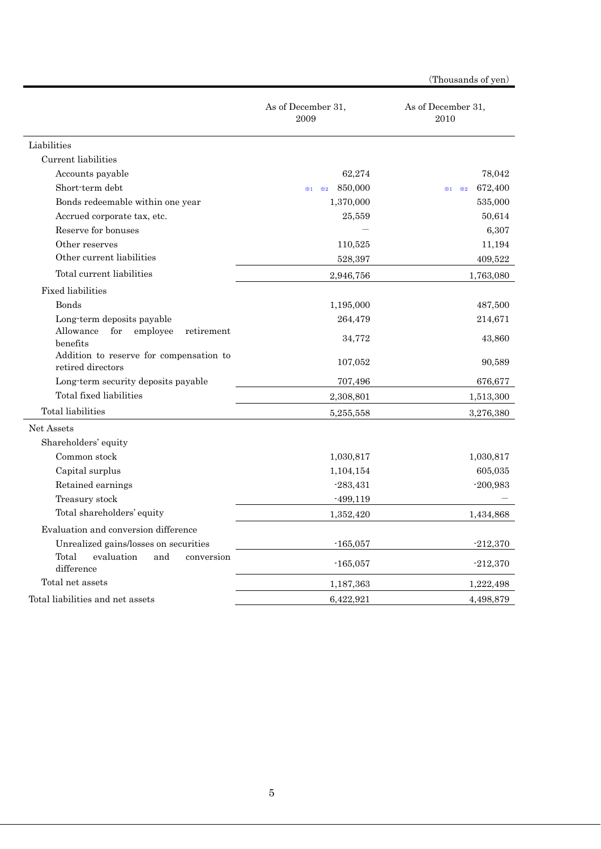|                                                              | As of December 31,<br>2009                          | As of December 31,<br>2010            |
|--------------------------------------------------------------|-----------------------------------------------------|---------------------------------------|
| Liabilities                                                  |                                                     |                                       |
| Current liabilities                                          |                                                     |                                       |
| Accounts payable                                             | 62,274                                              | 78,042                                |
| Short-term debt                                              | 850,000<br>$\divideontimes 2$<br>$\divideontimes 1$ | 672,400<br>$\divideontimes 2$<br>$*1$ |
| Bonds redeemable within one year                             | 1,370,000                                           | 535,000                               |
| Accrued corporate tax, etc.                                  | 25,559                                              | 50,614                                |
| Reserve for bonuses                                          |                                                     | 6,307                                 |
| Other reserves                                               | 110,525                                             | 11,194                                |
| Other current liabilities                                    | 528,397                                             | 409,522                               |
| Total current liabilities                                    | 2,946,756                                           | 1,763,080                             |
| <b>Fixed liabilities</b>                                     |                                                     |                                       |
| Bonds                                                        | 1,195,000                                           | 487,500                               |
| Long-term deposits payable                                   | 264,479                                             | 214,671                               |
| for<br>employee<br>Allowance<br>retirement<br>benefits       | 34,772                                              | 43,860                                |
| Addition to reserve for compensation to<br>retired directors | 107,052                                             | 90,589                                |
| Long-term security deposits payable                          | 707,496                                             | 676,677                               |
| Total fixed liabilities                                      | 2,308,801                                           | 1,513,300                             |
| Total liabilities                                            | 5,255,558                                           | 3,276,380                             |
| Net Assets                                                   |                                                     |                                       |
| Shareholders' equity                                         |                                                     |                                       |
| Common stock                                                 | 1,030,817                                           | 1,030,817                             |
| Capital surplus                                              | 1,104,154                                           | 605,035                               |
| Retained earnings                                            | $-283,431$                                          | $-200,983$                            |
| Treasury stock                                               | $-499,119$                                          |                                       |
| Total shareholders' equity                                   | 1,352,420                                           | 1,434,868                             |
| Evaluation and conversion difference                         |                                                     |                                       |
| Unrealized gains/losses on securities                        | $-165,057$                                          | $-212,370$                            |
| Total<br>evaluation<br>and<br>conversion<br>difference       | $-165,057$                                          | $-212,370$                            |
| Total net assets                                             | 1,187,363                                           | 1,222,498                             |
| Total liabilities and net assets                             | 6,422,921                                           | 4,498,879                             |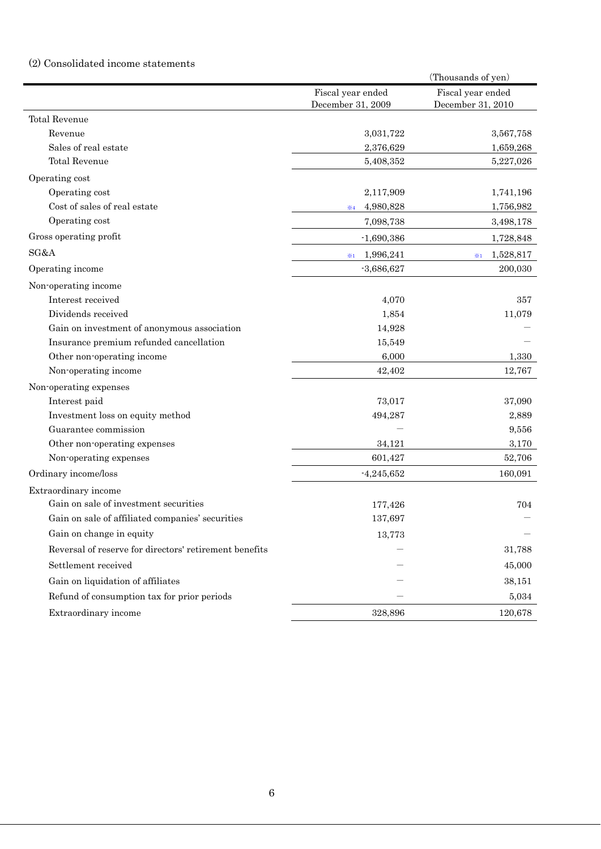### (2) Consolidated income statements

|                                                        |                             | (Thousands of yen) |
|--------------------------------------------------------|-----------------------------|--------------------|
|                                                        | Fiscal year ended           | Fiscal year ended  |
|                                                        | December 31, 2009           | December 31, 2010  |
| <b>Total Revenue</b>                                   |                             |                    |
| Revenue                                                | 3,031,722                   | 3,567,758          |
| Sales of real estate                                   | 2,376,629                   | 1,659,268          |
| <b>Total Revenue</b>                                   | 5,408,352                   | 5,227,026          |
| Operating cost                                         |                             |                    |
| Operating cost                                         | 2,117,909                   | 1,741,196          |
| Cost of sales of real estate                           | 4,980,828<br>$\frac{1}{24}$ | 1,756,982          |
| Operating cost                                         | 7,098,738                   | 3,498,178          |
| Gross operating profit                                 | $-1,690,386$                | 1,728,848          |
| SG&A                                                   | 1,996,241<br>$*1$           | 1,528,817<br>$*1$  |
| Operating income                                       | $-3,686,627$                | 200,030            |
| Non-operating income                                   |                             |                    |
| Interest received                                      | 4,070                       | 357                |
| Dividends received                                     | 1,854                       | 11,079             |
| Gain on investment of anonymous association            | 14,928                      |                    |
| Insurance premium refunded cancellation                | 15,549                      |                    |
| Other non-operating income                             | 6,000                       | 1,330              |
| Non-operating income                                   | 42,402                      | 12,767             |
| Non-operating expenses                                 |                             |                    |
| Interest paid                                          | 73,017                      | 37,090             |
| Investment loss on equity method                       | 494,287                     | 2,889              |
| Guarantee commission                                   |                             | 9,556              |
| Other non-operating expenses                           | 34,121                      | 3,170              |
| Non-operating expenses                                 | 601,427                     | 52,706             |
| Ordinary income/loss                                   | $-4,245,652$                | 160,091            |
| Extraordinary income                                   |                             |                    |
| Gain on sale of investment securities                  | 177,426                     | 704                |
| Gain on sale of affiliated companies' securities       | 137,697                     |                    |
| Gain on change in equity                               | 13,773                      |                    |
| Reversal of reserve for directors' retirement benefits |                             | 31,788             |
| Settlement received                                    |                             | 45,000             |
| Gain on liquidation of affiliates                      |                             | 38,151             |
| Refund of consumption tax for prior periods            |                             | 5,034              |
| Extraordinary income                                   | 328,896                     | 120,678            |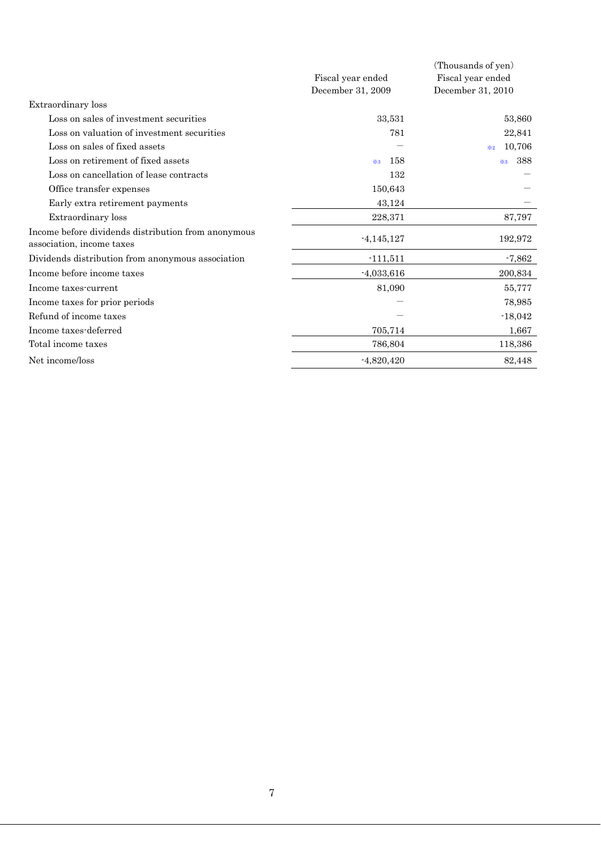|                                                                                  | Fiscal year ended | (Thousands of yen)<br>Fiscal year ended |
|----------------------------------------------------------------------------------|-------------------|-----------------------------------------|
|                                                                                  | December 31, 2009 | December 31, 2010                       |
| Extraordinary loss                                                               |                   |                                         |
| Loss on sales of investment securities                                           | 33,531            | 53,860                                  |
| Loss on valuation of investment securities                                       | 781               | 22,841                                  |
| Loss on sales of fixed assets                                                    |                   | 10,706<br>$\times 2$                    |
| Loss on retirement of fixed assets                                               | 158<br>$*3$       | 388<br>$*3$                             |
| Loss on cancellation of lease contracts                                          | 132               |                                         |
| Office transfer expenses                                                         | 150,643           |                                         |
| Early extra retirement payments                                                  | 43,124            |                                         |
| Extraordinary loss                                                               | 228,371           | 87,797                                  |
| Income before dividends distribution from anonymous<br>association, income taxes | $-4,145,127$      | 192,972                                 |
| Dividends distribution from anonymous association                                | $-111,511$        | $-7,862$                                |
| Income before income taxes                                                       | $-4,033,616$      | 200,834                                 |
| Income taxes-current                                                             | 81,090            | 55,777                                  |
| Income taxes for prior periods                                                   |                   | 78,985                                  |
| Refund of income taxes                                                           |                   | $-18,042$                               |
| Income taxes-deferred                                                            | 705,714           | 1,667                                   |
| Total income taxes                                                               | 786,804           | 118,386                                 |
| Net income/loss                                                                  | $-4,820,420$      | 82,448                                  |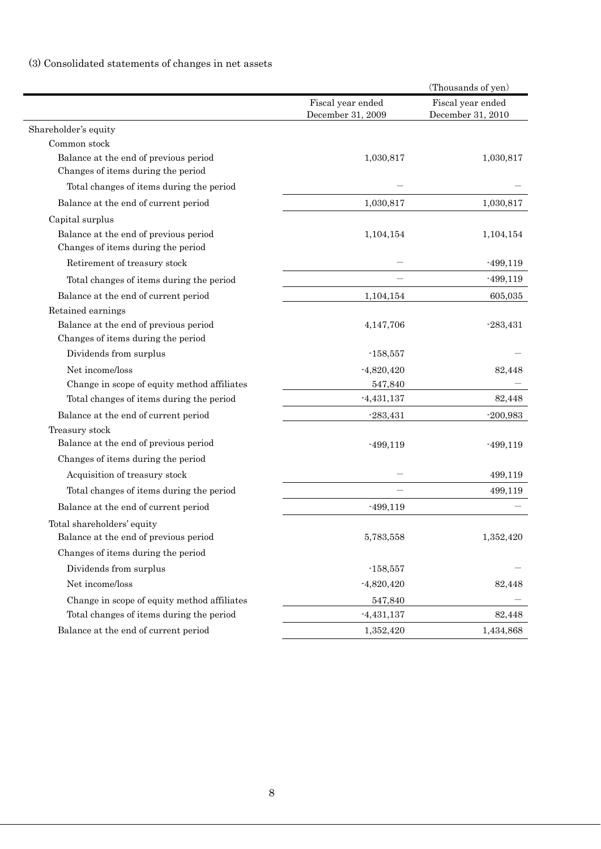# (3) Consolidated statements of changes in net assets

| Fiscal year ended<br>Fiscal year ended<br>December 31, 2009<br>December 31, 2010<br>Shareholder's equity<br>Common stock<br>Balance at the end of previous period<br>1,030,817<br>1,030,817<br>Changes of items during the period<br>Total changes of items during the period<br>Balance at the end of current period<br>1,030,817<br>1,030,817<br>Capital surplus<br>Balance at the end of previous period<br>1,104,154<br>1,104,154<br>Changes of items during the period<br>Retirement of treasury stock<br>$-499,119$<br>$-499,119$<br>Total changes of items during the period<br>Balance at the end of current period<br>1,104,154<br>605,035<br>Retained earnings<br>Balance at the end of previous period<br>4,147,706<br>$-283,431$<br>Changes of items during the period<br>Dividends from surplus<br>$-158,557$<br>Net income/loss<br>$-4,820,420$<br>82,448<br>Change in scope of equity method affiliates<br>547,840<br>$-4,431,137$<br>82,448<br>Total changes of items during the period<br>Balance at the end of current period<br>$-283,431$<br>$-200,983$<br>Treasury stock<br>Balance at the end of previous period<br>$-499,119$<br>$-499,119$<br>Changes of items during the period<br>Acquisition of treasury stock<br>499,119<br>Total changes of items during the period<br>499,119<br>Balance at the end of current period<br>$-499,119$<br>Total shareholders' equity<br>Balance at the end of previous period<br>1,352,420<br>5,783,558<br>Changes of items during the period<br>Dividends from surplus<br>$-158,557$<br>Net income/loss<br>$-4,820,420$<br>82,448<br>Change in scope of equity method affiliates<br>547,840<br>Total changes of items during the period<br>$-4,431,137$<br>82,448<br>Balance at the end of current period<br>1,352,420<br>1,434,868 |  | (Thousands of yen) |
|-------------------------------------------------------------------------------------------------------------------------------------------------------------------------------------------------------------------------------------------------------------------------------------------------------------------------------------------------------------------------------------------------------------------------------------------------------------------------------------------------------------------------------------------------------------------------------------------------------------------------------------------------------------------------------------------------------------------------------------------------------------------------------------------------------------------------------------------------------------------------------------------------------------------------------------------------------------------------------------------------------------------------------------------------------------------------------------------------------------------------------------------------------------------------------------------------------------------------------------------------------------------------------------------------------------------------------------------------------------------------------------------------------------------------------------------------------------------------------------------------------------------------------------------------------------------------------------------------------------------------------------------------------------------------------------------------------------------------------------------------------------------------------------------------|--|--------------------|
|                                                                                                                                                                                                                                                                                                                                                                                                                                                                                                                                                                                                                                                                                                                                                                                                                                                                                                                                                                                                                                                                                                                                                                                                                                                                                                                                                                                                                                                                                                                                                                                                                                                                                                                                                                                                 |  |                    |
|                                                                                                                                                                                                                                                                                                                                                                                                                                                                                                                                                                                                                                                                                                                                                                                                                                                                                                                                                                                                                                                                                                                                                                                                                                                                                                                                                                                                                                                                                                                                                                                                                                                                                                                                                                                                 |  |                    |
|                                                                                                                                                                                                                                                                                                                                                                                                                                                                                                                                                                                                                                                                                                                                                                                                                                                                                                                                                                                                                                                                                                                                                                                                                                                                                                                                                                                                                                                                                                                                                                                                                                                                                                                                                                                                 |  |                    |
|                                                                                                                                                                                                                                                                                                                                                                                                                                                                                                                                                                                                                                                                                                                                                                                                                                                                                                                                                                                                                                                                                                                                                                                                                                                                                                                                                                                                                                                                                                                                                                                                                                                                                                                                                                                                 |  |                    |
|                                                                                                                                                                                                                                                                                                                                                                                                                                                                                                                                                                                                                                                                                                                                                                                                                                                                                                                                                                                                                                                                                                                                                                                                                                                                                                                                                                                                                                                                                                                                                                                                                                                                                                                                                                                                 |  |                    |
|                                                                                                                                                                                                                                                                                                                                                                                                                                                                                                                                                                                                                                                                                                                                                                                                                                                                                                                                                                                                                                                                                                                                                                                                                                                                                                                                                                                                                                                                                                                                                                                                                                                                                                                                                                                                 |  |                    |
|                                                                                                                                                                                                                                                                                                                                                                                                                                                                                                                                                                                                                                                                                                                                                                                                                                                                                                                                                                                                                                                                                                                                                                                                                                                                                                                                                                                                                                                                                                                                                                                                                                                                                                                                                                                                 |  |                    |
|                                                                                                                                                                                                                                                                                                                                                                                                                                                                                                                                                                                                                                                                                                                                                                                                                                                                                                                                                                                                                                                                                                                                                                                                                                                                                                                                                                                                                                                                                                                                                                                                                                                                                                                                                                                                 |  |                    |
|                                                                                                                                                                                                                                                                                                                                                                                                                                                                                                                                                                                                                                                                                                                                                                                                                                                                                                                                                                                                                                                                                                                                                                                                                                                                                                                                                                                                                                                                                                                                                                                                                                                                                                                                                                                                 |  |                    |
|                                                                                                                                                                                                                                                                                                                                                                                                                                                                                                                                                                                                                                                                                                                                                                                                                                                                                                                                                                                                                                                                                                                                                                                                                                                                                                                                                                                                                                                                                                                                                                                                                                                                                                                                                                                                 |  |                    |
|                                                                                                                                                                                                                                                                                                                                                                                                                                                                                                                                                                                                                                                                                                                                                                                                                                                                                                                                                                                                                                                                                                                                                                                                                                                                                                                                                                                                                                                                                                                                                                                                                                                                                                                                                                                                 |  |                    |
|                                                                                                                                                                                                                                                                                                                                                                                                                                                                                                                                                                                                                                                                                                                                                                                                                                                                                                                                                                                                                                                                                                                                                                                                                                                                                                                                                                                                                                                                                                                                                                                                                                                                                                                                                                                                 |  |                    |
|                                                                                                                                                                                                                                                                                                                                                                                                                                                                                                                                                                                                                                                                                                                                                                                                                                                                                                                                                                                                                                                                                                                                                                                                                                                                                                                                                                                                                                                                                                                                                                                                                                                                                                                                                                                                 |  |                    |
|                                                                                                                                                                                                                                                                                                                                                                                                                                                                                                                                                                                                                                                                                                                                                                                                                                                                                                                                                                                                                                                                                                                                                                                                                                                                                                                                                                                                                                                                                                                                                                                                                                                                                                                                                                                                 |  |                    |
|                                                                                                                                                                                                                                                                                                                                                                                                                                                                                                                                                                                                                                                                                                                                                                                                                                                                                                                                                                                                                                                                                                                                                                                                                                                                                                                                                                                                                                                                                                                                                                                                                                                                                                                                                                                                 |  |                    |
|                                                                                                                                                                                                                                                                                                                                                                                                                                                                                                                                                                                                                                                                                                                                                                                                                                                                                                                                                                                                                                                                                                                                                                                                                                                                                                                                                                                                                                                                                                                                                                                                                                                                                                                                                                                                 |  |                    |
|                                                                                                                                                                                                                                                                                                                                                                                                                                                                                                                                                                                                                                                                                                                                                                                                                                                                                                                                                                                                                                                                                                                                                                                                                                                                                                                                                                                                                                                                                                                                                                                                                                                                                                                                                                                                 |  |                    |
|                                                                                                                                                                                                                                                                                                                                                                                                                                                                                                                                                                                                                                                                                                                                                                                                                                                                                                                                                                                                                                                                                                                                                                                                                                                                                                                                                                                                                                                                                                                                                                                                                                                                                                                                                                                                 |  |                    |
|                                                                                                                                                                                                                                                                                                                                                                                                                                                                                                                                                                                                                                                                                                                                                                                                                                                                                                                                                                                                                                                                                                                                                                                                                                                                                                                                                                                                                                                                                                                                                                                                                                                                                                                                                                                                 |  |                    |
|                                                                                                                                                                                                                                                                                                                                                                                                                                                                                                                                                                                                                                                                                                                                                                                                                                                                                                                                                                                                                                                                                                                                                                                                                                                                                                                                                                                                                                                                                                                                                                                                                                                                                                                                                                                                 |  |                    |
|                                                                                                                                                                                                                                                                                                                                                                                                                                                                                                                                                                                                                                                                                                                                                                                                                                                                                                                                                                                                                                                                                                                                                                                                                                                                                                                                                                                                                                                                                                                                                                                                                                                                                                                                                                                                 |  |                    |
|                                                                                                                                                                                                                                                                                                                                                                                                                                                                                                                                                                                                                                                                                                                                                                                                                                                                                                                                                                                                                                                                                                                                                                                                                                                                                                                                                                                                                                                                                                                                                                                                                                                                                                                                                                                                 |  |                    |
|                                                                                                                                                                                                                                                                                                                                                                                                                                                                                                                                                                                                                                                                                                                                                                                                                                                                                                                                                                                                                                                                                                                                                                                                                                                                                                                                                                                                                                                                                                                                                                                                                                                                                                                                                                                                 |  |                    |
|                                                                                                                                                                                                                                                                                                                                                                                                                                                                                                                                                                                                                                                                                                                                                                                                                                                                                                                                                                                                                                                                                                                                                                                                                                                                                                                                                                                                                                                                                                                                                                                                                                                                                                                                                                                                 |  |                    |
|                                                                                                                                                                                                                                                                                                                                                                                                                                                                                                                                                                                                                                                                                                                                                                                                                                                                                                                                                                                                                                                                                                                                                                                                                                                                                                                                                                                                                                                                                                                                                                                                                                                                                                                                                                                                 |  |                    |
|                                                                                                                                                                                                                                                                                                                                                                                                                                                                                                                                                                                                                                                                                                                                                                                                                                                                                                                                                                                                                                                                                                                                                                                                                                                                                                                                                                                                                                                                                                                                                                                                                                                                                                                                                                                                 |  |                    |
|                                                                                                                                                                                                                                                                                                                                                                                                                                                                                                                                                                                                                                                                                                                                                                                                                                                                                                                                                                                                                                                                                                                                                                                                                                                                                                                                                                                                                                                                                                                                                                                                                                                                                                                                                                                                 |  |                    |
|                                                                                                                                                                                                                                                                                                                                                                                                                                                                                                                                                                                                                                                                                                                                                                                                                                                                                                                                                                                                                                                                                                                                                                                                                                                                                                                                                                                                                                                                                                                                                                                                                                                                                                                                                                                                 |  |                    |
|                                                                                                                                                                                                                                                                                                                                                                                                                                                                                                                                                                                                                                                                                                                                                                                                                                                                                                                                                                                                                                                                                                                                                                                                                                                                                                                                                                                                                                                                                                                                                                                                                                                                                                                                                                                                 |  |                    |
|                                                                                                                                                                                                                                                                                                                                                                                                                                                                                                                                                                                                                                                                                                                                                                                                                                                                                                                                                                                                                                                                                                                                                                                                                                                                                                                                                                                                                                                                                                                                                                                                                                                                                                                                                                                                 |  |                    |
|                                                                                                                                                                                                                                                                                                                                                                                                                                                                                                                                                                                                                                                                                                                                                                                                                                                                                                                                                                                                                                                                                                                                                                                                                                                                                                                                                                                                                                                                                                                                                                                                                                                                                                                                                                                                 |  |                    |
|                                                                                                                                                                                                                                                                                                                                                                                                                                                                                                                                                                                                                                                                                                                                                                                                                                                                                                                                                                                                                                                                                                                                                                                                                                                                                                                                                                                                                                                                                                                                                                                                                                                                                                                                                                                                 |  |                    |
|                                                                                                                                                                                                                                                                                                                                                                                                                                                                                                                                                                                                                                                                                                                                                                                                                                                                                                                                                                                                                                                                                                                                                                                                                                                                                                                                                                                                                                                                                                                                                                                                                                                                                                                                                                                                 |  |                    |
|                                                                                                                                                                                                                                                                                                                                                                                                                                                                                                                                                                                                                                                                                                                                                                                                                                                                                                                                                                                                                                                                                                                                                                                                                                                                                                                                                                                                                                                                                                                                                                                                                                                                                                                                                                                                 |  |                    |
|                                                                                                                                                                                                                                                                                                                                                                                                                                                                                                                                                                                                                                                                                                                                                                                                                                                                                                                                                                                                                                                                                                                                                                                                                                                                                                                                                                                                                                                                                                                                                                                                                                                                                                                                                                                                 |  |                    |
|                                                                                                                                                                                                                                                                                                                                                                                                                                                                                                                                                                                                                                                                                                                                                                                                                                                                                                                                                                                                                                                                                                                                                                                                                                                                                                                                                                                                                                                                                                                                                                                                                                                                                                                                                                                                 |  |                    |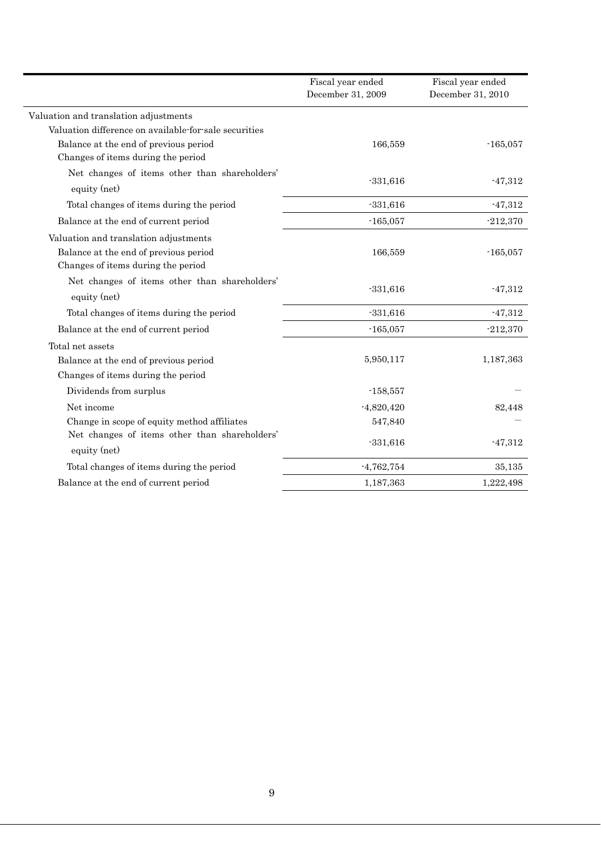|                                                                                                                      | Fiscal year ended<br>December 31, 2009 | Fiscal year ended<br>December 31, 2010 |
|----------------------------------------------------------------------------------------------------------------------|----------------------------------------|----------------------------------------|
| Valuation and translation adjustments                                                                                |                                        |                                        |
| Valuation difference on available-for-sale securities                                                                |                                        |                                        |
| Balance at the end of previous period                                                                                | 166,559                                | $-165,057$                             |
| Changes of items during the period                                                                                   |                                        |                                        |
| Net changes of items other than shareholders'<br>equity (net)                                                        | $-331,616$                             | $-47,312$                              |
| Total changes of items during the period                                                                             | $-331,616$                             | $-47,312$                              |
| Balance at the end of current period                                                                                 | $-165,057$                             | $-212,370$                             |
| Valuation and translation adjustments<br>Balance at the end of previous period<br>Changes of items during the period | 166,559                                | $-165,057$                             |
| Net changes of items other than shareholders'<br>equity (net)                                                        | $-331,616$                             | $-47,312$                              |
| Total changes of items during the period                                                                             | $-331,616$                             | $-47,312$                              |
| Balance at the end of current period                                                                                 | $-165,057$                             | $-212,370$                             |
| Total net assets                                                                                                     |                                        |                                        |
| Balance at the end of previous period                                                                                | 5,950,117                              | 1,187,363                              |
| Changes of items during the period                                                                                   |                                        |                                        |
| Dividends from surplus                                                                                               | $-158,557$                             |                                        |
| Net income                                                                                                           | $-4,820,420$                           | 82,448                                 |
| Change in scope of equity method affiliates                                                                          | 547,840                                |                                        |
| Net changes of items other than shareholders'<br>equity (net)                                                        | $-331,616$                             | $-47,312$                              |
| Total changes of items during the period                                                                             | $-4,762,754$                           | 35,135                                 |
| Balance at the end of current period                                                                                 | 1,187,363                              | 1,222,498                              |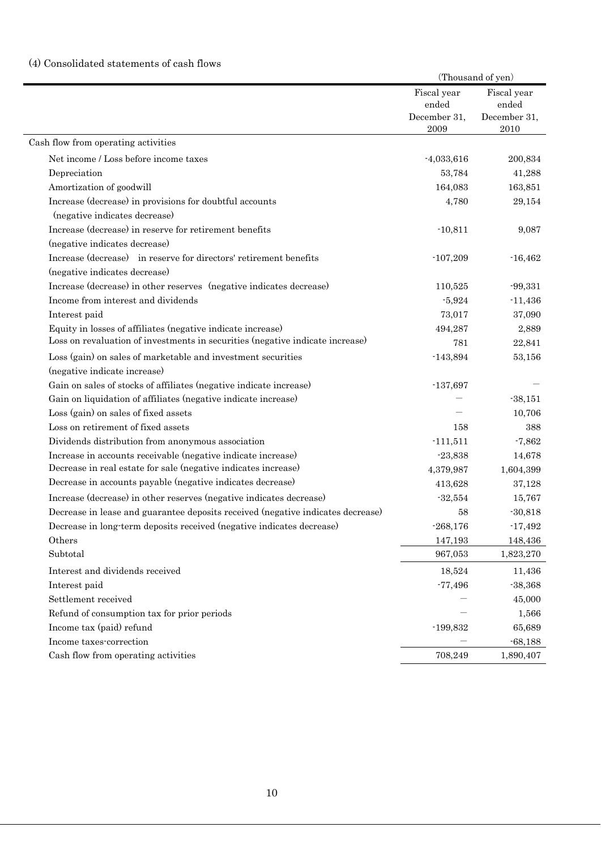# (4) Consolidated statements of cash flows

|                                                                                 | (Thousand of yen) |              |
|---------------------------------------------------------------------------------|-------------------|--------------|
|                                                                                 | Fiscal year       | Fiscal year  |
|                                                                                 | ended             | ended        |
|                                                                                 | December 31,      | December 31, |
|                                                                                 | 2009              | 2010         |
| Cash flow from operating activities                                             |                   |              |
| Net income / Loss before income taxes                                           | $-4,033,616$      | 200,834      |
| Depreciation                                                                    | 53,784            | 41,288       |
| Amortization of goodwill                                                        | 164,083           | 163,851      |
| Increase (decrease) in provisions for doubtful accounts                         | 4,780             | 29,154       |
| (negative indicates decrease)                                                   |                   |              |
| Increase (decrease) in reserve for retirement benefits                          | $-10,811$         | 9,087        |
| (negative indicates decrease)                                                   |                   |              |
| Increase (decrease) in reserve for directors' retirement benefits               | $-107,209$        | $-16,462$    |
| (negative indicates decrease)                                                   |                   |              |
| Increase (decrease) in other reserves (negative indicates decrease)             | 110,525           | $-99,331$    |
| Income from interest and dividends                                              | $-5,924$          | $-11,436$    |
| Interest paid                                                                   | 73,017            | 37,090       |
| Equity in losses of affiliates (negative indicate increase)                     | 494,287           | 2,889        |
| Loss on revaluation of investments in securities (negative indicate increase)   | 781               | 22,841       |
| Loss (gain) on sales of marketable and investment securities                    | $-143,894$        | 53,156       |
| (negative indicate increase)                                                    |                   |              |
| Gain on sales of stocks of affiliates (negative indicate increase)              | $-137,697$        |              |
| Gain on liquidation of affiliates (negative indicate increase)                  |                   | $-38,151$    |
| Loss (gain) on sales of fixed assets                                            |                   | 10,706       |
| Loss on retirement of fixed assets                                              | 158               | 388          |
| Dividends distribution from anonymous association                               | $-111,511$        | $-7,862$     |
| Increase in accounts receivable (negative indicate increase)                    | $-23,838$         | 14,678       |
| Decrease in real estate for sale (negative indicates increase)                  | 4,379,987         | 1,604,399    |
| Decrease in accounts payable (negative indicates decrease)                      | 413,628           | 37,128       |
| Increase (decrease) in other reserves (negative indicates decrease)             | $-32,554$         | 15,767       |
| Decrease in lease and guarantee deposits received (negative indicates decrease) | 58                | $-30,818$    |
| Decrease in long-term deposits received (negative indicates decrease)           | $-268,176$        | $-17,492$    |
| Others                                                                          | 147,193           | 148,436      |
| Subtotal                                                                        | 967,053           | 1,823,270    |
| Interest and dividends received                                                 | 18,524            | 11,436       |
| Interest paid                                                                   | $-77,496$         | $-38,368$    |
| Settlement received                                                             |                   | 45,000       |
| Refund of consumption tax for prior periods                                     |                   | 1,566        |
| Income tax (paid) refund                                                        | $-199,832$        | 65,689       |
| Income taxes-correction                                                         |                   | $-68,188$    |
| Cash flow from operating activities                                             | 708,249           | 1,890,407    |
|                                                                                 |                   |              |